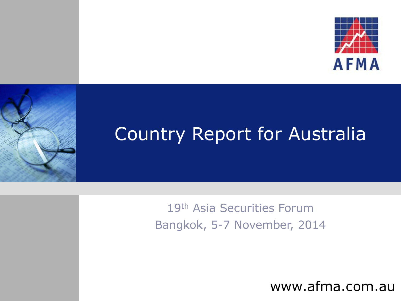



## Country Report for Australia

19th Asia Securities Forum Bangkok, 5-7 November, 2014

www.afma.com.au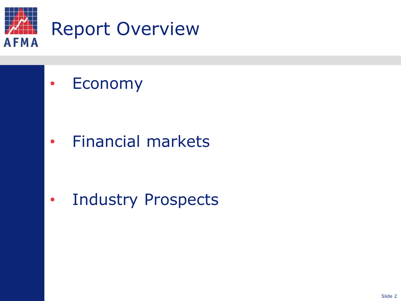

• Economy

• Financial markets

• Industry Prospects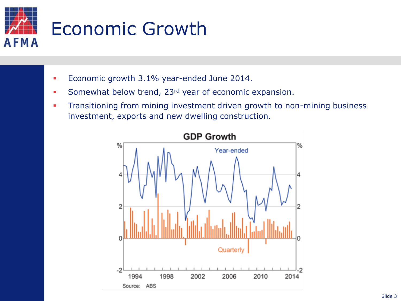

- **Economic growth 3.1% year-ended June 2014.**
- Somewhat below trend, 23<sup>rd</sup> year of economic expansion.
- **Transitioning from mining investment driven growth to non-mining business** investment, exports and new dwelling construction.

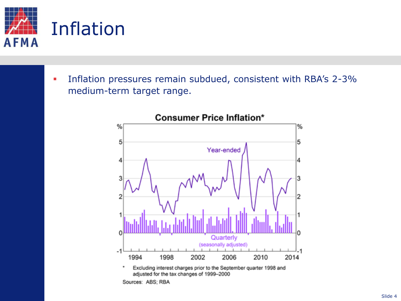

**Inflation pressures remain subdued, consistent with RBA's 2-3%** medium-term target range.

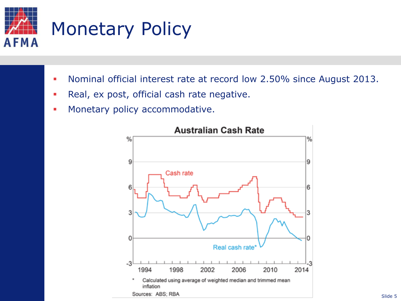

- **Nominal official interest rate at record low 2.50% since August 2013.**
- **Real, ex post, official cash rate negative.**
- **Monetary policy accommodative.**



#### **Australian Cash Rate**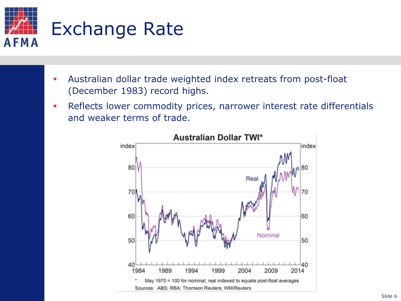

- Australian dollar trade weighted index retreats from post-float (December 1983) record highs.
- **Reflects lower commodity prices, narrower interest rate differentials** and weaker terms of trade.

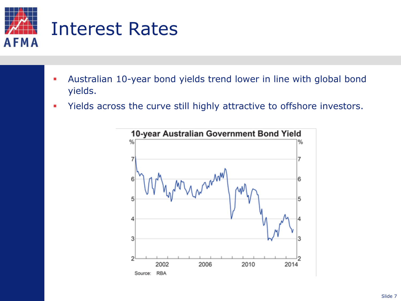

- Australian 10-year bond yields trend lower in line with global bond yields.
- Yields across the curve still highly attractive to offshore investors.



10-year Australian Government Bond Yield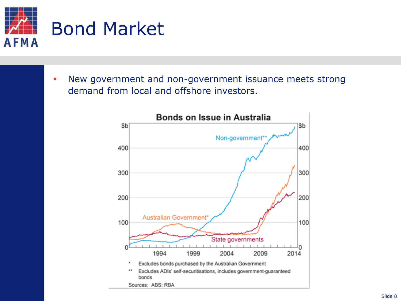

 New government and non-government issuance meets strong demand from local and offshore investors.

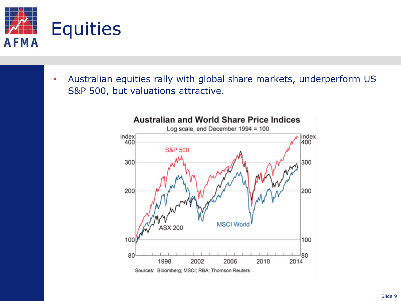

 Australian equities rally with global share markets, underperform US S&P 500, but valuations attractive.



### **Australian and World Share Price Indices**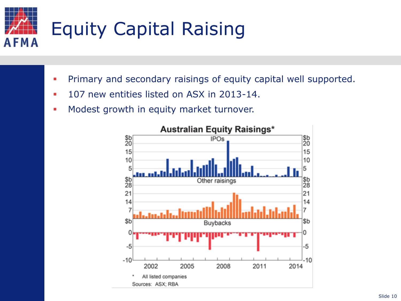

- **Primary and secondary raisings of equity capital well supported.**
- **107 new entities listed on ASX in 2013-14.**
- **Modest growth in equity market turnover.**



### **Australian Equity Raisings\***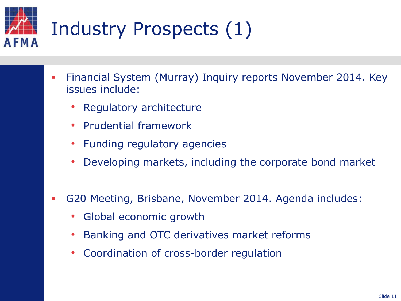# Industry Prospects (1) AFMA

- Financial System (Murray) Inquiry reports November 2014. Key issues include:
	- Regulatory architecture
	- Prudential framework
	- Funding regulatory agencies
	- Developing markets, including the corporate bond market
- G20 Meeting, Brisbane, November 2014. Agenda includes:
	- Global economic growth
	- Banking and OTC derivatives market reforms
	- Coordination of cross-border regulation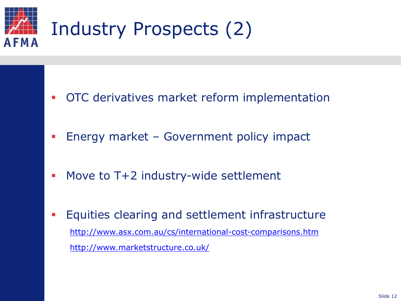

- **OTC** derivatives market reform implementation
- **Energy market Government policy impact**
- **Move to T+2 industry-wide settlement**
- **Equities clearing and settlement infrastructure** <http://www.asx.com.au/cs/international-cost-comparisons.htm> <http://www.marketstructure.co.uk/>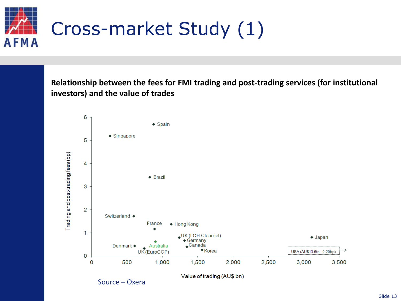

**Relationship between the fees for FMI trading and post-trading services (for institutional investors) and the value of trades**